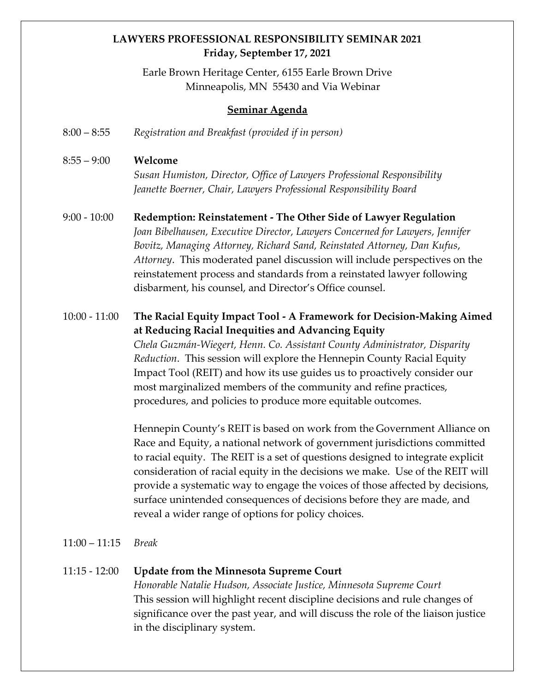# **LAWYERS PROFESSIONAL RESPONSIBILITY SEMINAR 2021 Friday, September 17, 2021**

Earle Brown Heritage Center, 6155 Earle Brown Drive Minneapolis, MN 55430 and Via Webinar

#### **Seminar Agenda**

8:00 – 8:55 *Registration and Breakfast (provided if in person)*

#### 8:55 – 9:00 **Welcome**

*Susan Humiston, Director, Office of Lawyers Professional Responsibility Jeanette Boerner, Chair, Lawyers Professional Responsibility Board*

9:00 - 10:00 **Redemption: Reinstatement - The Other Side of Lawyer Regulation**  *Joan Bibelhausen, Executive Director, Lawyers Concerned for Lawyers, Jennifer Bovitz, Managing Attorney, Richard Sand, Reinstated Attorney, Dan Kufus*, *Attorney*. This moderated panel discussion will include perspectives on the reinstatement process and standards from a reinstated lawyer following disbarment, his counsel, and Director's Office counsel.

# 10:00 - 11:00 **The Racial Equity Impact Tool - A Framework for Decision-Making Aimed at Reducing Racial Inequities and Advancing Equity**

*Chela Guzmán-Wiegert, Henn. Co. Assistant County Administrator, Disparity Reduction*.This session will explore the Hennepin County Racial Equity Impact Tool (REIT) and how its use guides us to proactively consider our most marginalized members of the community and refine practices, procedures, and policies to produce more equitable outcomes.

Hennepin County's REIT is based on work from the Government Alliance on Race and Equity, a national network of government jurisdictions committed to racial equity. The REIT is a set of questions designed to integrate explicit consideration of racial equity in the decisions we make. Use of the REIT will provide a systematic way to engage the voices of those affected by decisions, surface unintended consequences of decisions before they are made, and reveal a wider range of options for policy choices.

#### 11:00 – 11:15 *Break*

## 11:15 - 12:00 **Update from the Minnesota Supreme Court**

*Honorable Natalie Hudson, Associate Justice, Minnesota Supreme Court* This session will highlight recent discipline decisions and rule changes of significance over the past year, and will discuss the role of the liaison justice in the disciplinary system.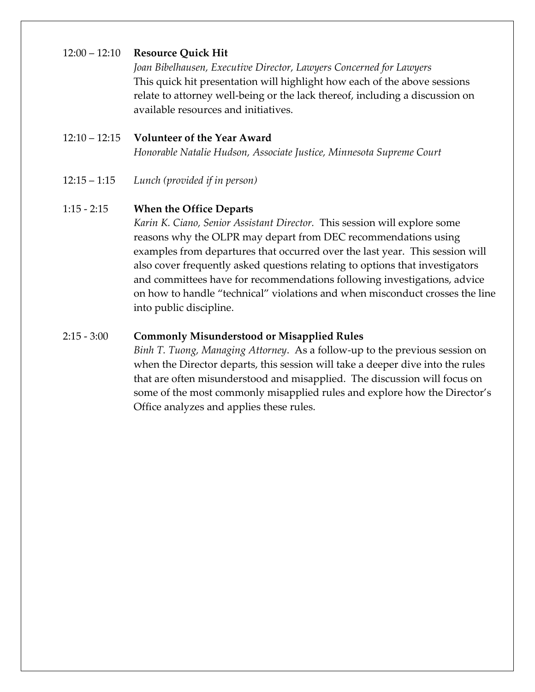# 12:00 – 12:10 **Resource Quick Hit**

*Joan Bibelhausen, Executive Director, Lawyers Concerned for Lawyers* This quick hit presentation will highlight how each of the above sessions relate to attorney well-being or the lack thereof, including a discussion on available resources and initiatives.

#### 12:10 – 12:15 **Volunteer of the Year Award**

*Honorable Natalie Hudson, Associate Justice, Minnesota Supreme Court*

12:15 – 1:15 *Lunch (provided if in person)*

## 1:15 - 2:15 **When the Office Departs**

*Karin K. Ciano, Senior Assistant Director.* This session will explore some reasons why the OLPR may depart from DEC recommendations using examples from departures that occurred over the last year. This session will also cover frequently asked questions relating to options that investigators and committees have for recommendations following investigations, advice on how to handle "technical" violations and when misconduct crosses the line into public discipline.

## 2:15 - 3:00 **Commonly Misunderstood or Misapplied Rules**

*Binh T. Tuong, Managing Attorney*. As a follow-up to the previous session on when the Director departs, this session will take a deeper dive into the rules that are often misunderstood and misapplied. The discussion will focus on some of the most commonly misapplied rules and explore how the Director's Office analyzes and applies these rules.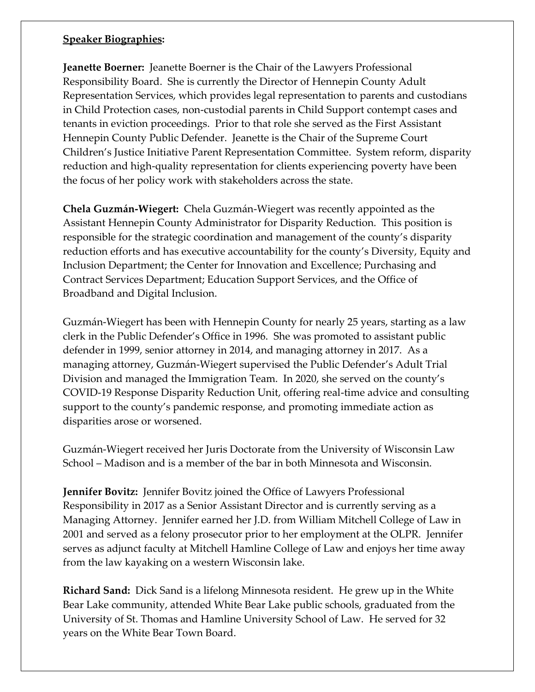## **Speaker Biographies:**

**Jeanette Boerner:** Jeanette Boerner is the Chair of the Lawyers Professional Responsibility Board. She is currently the Director of Hennepin County Adult Representation Services, which provides legal representation to parents and custodians in Child Protection cases, non-custodial parents in Child Support contempt cases and tenants in eviction proceedings. Prior to that role she served as the First Assistant Hennepin County Public Defender. Jeanette is the Chair of the Supreme Court Children's Justice Initiative Parent Representation Committee. System reform, disparity reduction and high-quality representation for clients experiencing poverty have been the focus of her policy work with stakeholders across the state.

**Chela Guzmán-Wiegert:** Chela Guzmán-Wiegert was recently appointed as the Assistant Hennepin County Administrator for Disparity Reduction. This position is responsible for the strategic coordination and management of the county's disparity reduction efforts and has executive accountability for the county's Diversity, Equity and Inclusion Department; the Center for Innovation and Excellence; Purchasing and Contract Services Department; Education Support Services, and the Office of Broadband and Digital Inclusion.

Guzmán-Wiegert has been with Hennepin County for nearly 25 years, starting as a law clerk in the Public Defender's Office in 1996. She was promoted to assistant public defender in 1999, senior attorney in 2014, and managing attorney in 2017. As a managing attorney, Guzmán-Wiegert supervised the Public Defender's Adult Trial Division and managed the Immigration Team. In 2020, she served on the county's COVID-19 Response Disparity Reduction Unit, offering real-time advice and consulting support to the county's pandemic response, and promoting immediate action as disparities arose or worsened.

Guzmán-Wiegert received her Juris Doctorate from the University of Wisconsin Law School – Madison and is a member of the bar in both Minnesota and Wisconsin.

**Jennifer Bovitz:** Jennifer Bovitz joined the Office of Lawyers Professional Responsibility in 2017 as a Senior Assistant Director and is currently serving as a Managing Attorney. Jennifer earned her J.D. from William Mitchell College of Law in 2001 and served as a felony prosecutor prior to her employment at the OLPR. Jennifer serves as adjunct faculty at Mitchell Hamline College of Law and enjoys her time away from the law kayaking on a western Wisconsin lake.

**Richard Sand:** Dick Sand is a lifelong Minnesota resident. He grew up in the White Bear Lake community, attended White Bear Lake public schools, graduated from the University of St. Thomas and Hamline University School of Law. He served for 32 years on the White Bear Town Board.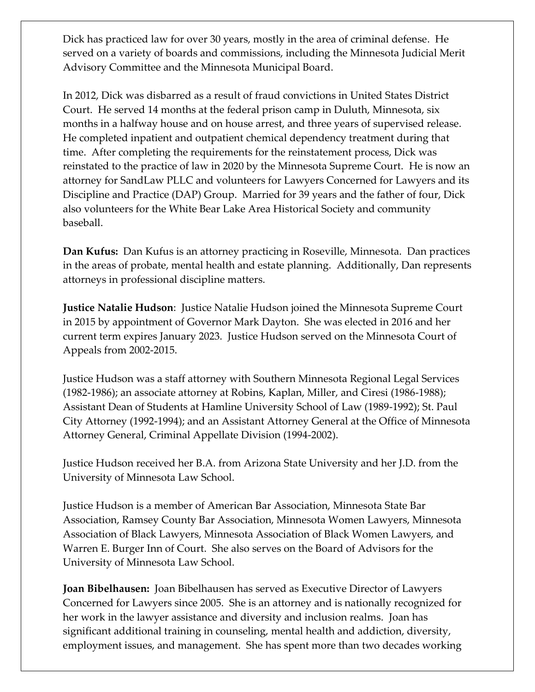Dick has practiced law for over 30 years, mostly in the area of criminal defense. He served on a variety of boards and commissions, including the Minnesota Judicial Merit Advisory Committee and the Minnesota Municipal Board.

In 2012, Dick was disbarred as a result of fraud convictions in United States District Court. He served 14 months at the federal prison camp in Duluth, Minnesota, six months in a halfway house and on house arrest, and three years of supervised release. He completed inpatient and outpatient chemical dependency treatment during that time. After completing the requirements for the reinstatement process, Dick was reinstated to the practice of law in 2020 by the Minnesota Supreme Court. He is now an attorney for SandLaw PLLC and volunteers for Lawyers Concerned for Lawyers and its Discipline and Practice (DAP) Group. Married for 39 years and the father of four, Dick also volunteers for the White Bear Lake Area Historical Society and community baseball.

**Dan Kufus:** Dan Kufus is an attorney practicing in Roseville, Minnesota. Dan practices in the areas of probate, mental health and estate planning. Additionally, Dan represents attorneys in professional discipline matters.

**Justice Natalie Hudson**: Justice Natalie Hudson joined the Minnesota Supreme Court in 2015 by appointment of Governor Mark Dayton. She was elected in 2016 and her current term expires January 2023. Justice Hudson served on the Minnesota Court of Appeals from 2002-2015.

Justice Hudson was a staff attorney with Southern Minnesota Regional Legal Services (1982-1986); an associate attorney at Robins, Kaplan, Miller, and Ciresi (1986-1988); Assistant Dean of Students at Hamline University School of Law (1989-1992); St. Paul City Attorney (1992-1994); and an Assistant Attorney General at the Office of Minnesota Attorney General, Criminal Appellate Division (1994-2002).

Justice Hudson received her B.A. from Arizona State University and her J.D. from the University of Minnesota Law School.

Justice Hudson is a member of American Bar Association, Minnesota State Bar Association, Ramsey County Bar Association, Minnesota Women Lawyers, Minnesota Association of Black Lawyers, Minnesota Association of Black Women Lawyers, and Warren E. Burger Inn of Court. She also serves on the Board of Advisors for the University of Minnesota Law School.

**Joan Bibelhausen:** Joan Bibelhausen has served as Executive Director of Lawyers Concerned for Lawyers since 2005. She is an attorney and is nationally recognized for her work in the lawyer assistance and diversity and inclusion realms. Joan has significant additional training in counseling, mental health and addiction, diversity, employment issues, and management. She has spent more than two decades working